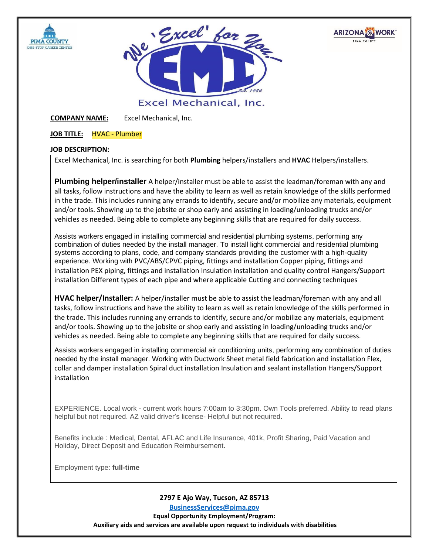





**COMPANY NAME:** Excel Mechanical, Inc.

## **JOB TITLE:** HVAC - Plumber

# **JOB DESCRIPTION:**

Excel Mechanical, Inc. is searching for both **Plumbing** helpers/installers and **HVAC** Helpers/installers.

**Plumbing helper/installer** A helper/installer must be able to assist the leadman/foreman with any and all tasks, follow instructions and have the ability to learn as well as retain knowledge of the skills performed in the trade. This includes running any errands to identify, secure and/or mobilize any materials, equipment and/or tools. Showing up to the jobsite or shop early and assisting in loading/unloading trucks and/or vehicles as needed. Being able to complete any beginning skills that are required for daily success.

Assists workers engaged in installing commercial and residential plumbing systems, performing any combination of duties needed by the install manager. To install light commercial and residential plumbing systems according to plans, code, and company standards providing the customer with a high-quality experience. Working with PVC/ABS/CPVC piping, fittings and installation Copper piping, fittings and installation PEX piping, fittings and installation Insulation installation and quality control Hangers/Support installation Different types of each pipe and where applicable Cutting and connecting techniques

**HVAC helper/Installer:** A helper/installer must be able to assist the leadman/foreman with any and all tasks, follow instructions and have the ability to learn as well as retain knowledge of the skills performed in the trade. This includes running any errands to identify, secure and/or mobilize any materials, equipment and/or tools. Showing up to the jobsite or shop early and assisting in loading/unloading trucks and/or vehicles as needed. Being able to complete any beginning skills that are required for daily success.

Assists workers engaged in installing commercial air conditioning units, performing any combination of duties needed by the install manager. Working with Ductwork Sheet metal field fabrication and installation Flex, collar and damper installation Spiral duct installation Insulation and sealant installation Hangers/Support installation

EXPERIENCE. Local work - current work hours 7:00am to 3:30pm. Own Tools preferred. Ability to read plans helpful but not required. AZ valid driver's license- Helpful but not required.

Benefits include : Medical, Dental, AFLAC and Life Insurance, 401k, Profit Sharing, Paid Vacation and Holiday, Direct Deposit and Education Reimbursement.

Employment type: **full-time**

**2797 E Ajo Way, Tucson, AZ 85713 [BusinessServices@pima.gov](mailto:BusinessServices@pima.gov) Equal Opportunity Employment/Program: Auxiliary aids and services are available upon request to individuals with disabilities**